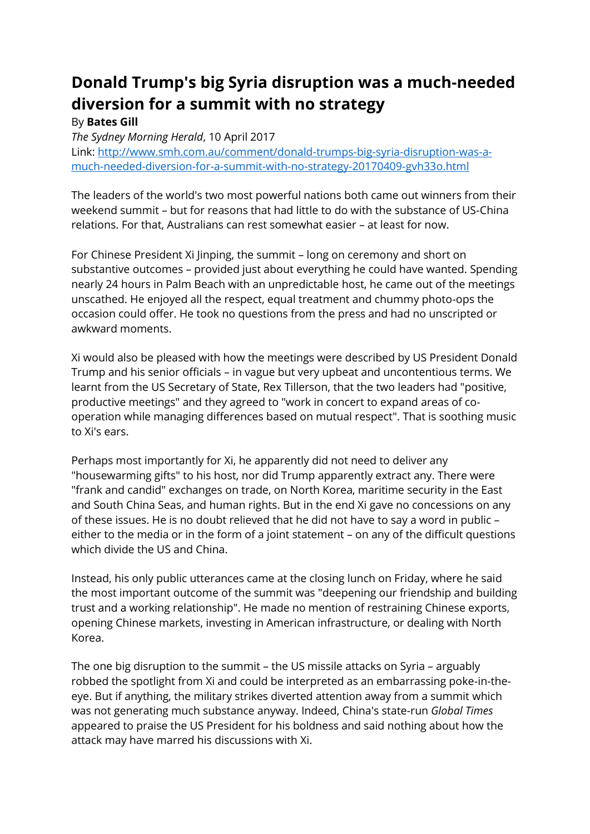## **Donald Trump's big Syria disruption was a much-needed diversion for a summit with no strategy**

## By **Bates Gill**

*The Sydney Morning Herald*, 10 April 2017 Link: [http://www.smh.com.au/comment/donald-trumps-big-syria-disruption-was-a](http://www.smh.com.au/comment/donald-trumps-big-syria-disruption-was-a-much-needed-diversion-for-a-summit-with-no-strategy-20170409-gvh33o.html)[much-needed-diversion-for-a-summit-with-no-strategy-20170409-gvh33o.html](http://www.smh.com.au/comment/donald-trumps-big-syria-disruption-was-a-much-needed-diversion-for-a-summit-with-no-strategy-20170409-gvh33o.html)

The leaders of the world's two most powerful nations both came out winners from their weekend summit – but for reasons that had little to do with the substance of US-China relations. For that, Australians can rest somewhat easier – at least for now.

For Chinese President Xi Jinping, the summit – long on ceremony and short on substantive outcomes – provided just about everything he could have wanted. Spending nearly 24 hours in Palm Beach with an unpredictable host, he came out of the meetings unscathed. He enjoyed all the respect, equal treatment and chummy photo-ops the occasion could offer. He took no questions from the press and had no unscripted or awkward moments.

Xi would also be pleased with how the meetings were described by US President Donald Trump and his senior officials – in vague but very upbeat and uncontentious terms. We learnt from the US Secretary of State, Rex Tillerson, that the two leaders had "positive, productive meetings" and they agreed to "work in concert to expand areas of cooperation while managing differences based on mutual respect". That is soothing music to Xi's ears.

Perhaps most importantly for Xi, he apparently did not need to deliver any "housewarming gifts" to his host, nor did Trump apparently extract any. There were "frank and candid" exchanges on trade, on North Korea, maritime security in the East and South China Seas, and human rights. But in the end Xi gave no concessions on any of these issues. He is no doubt relieved that he did not have to say a word in public – either to the media or in the form of a joint statement – on any of the difficult questions which divide the US and China.

Instead, his only public utterances came at the closing lunch on Friday, where he said the most important outcome of the summit was "deepening our friendship and building trust and a working relationship". He made no mention of restraining Chinese exports, opening Chinese markets, investing in American infrastructure, or dealing with North Korea.

The one big disruption to the summit – the US missile attacks on Syria – arguably robbed the spotlight from Xi and could be interpreted as an embarrassing poke-in-theeye. But if anything, the military strikes diverted attention away from a summit which was not generating much substance anyway. Indeed, China's state-run *Global Times* appeared to praise the US President for his boldness and said nothing about how the attack may have marred his discussions with Xi.